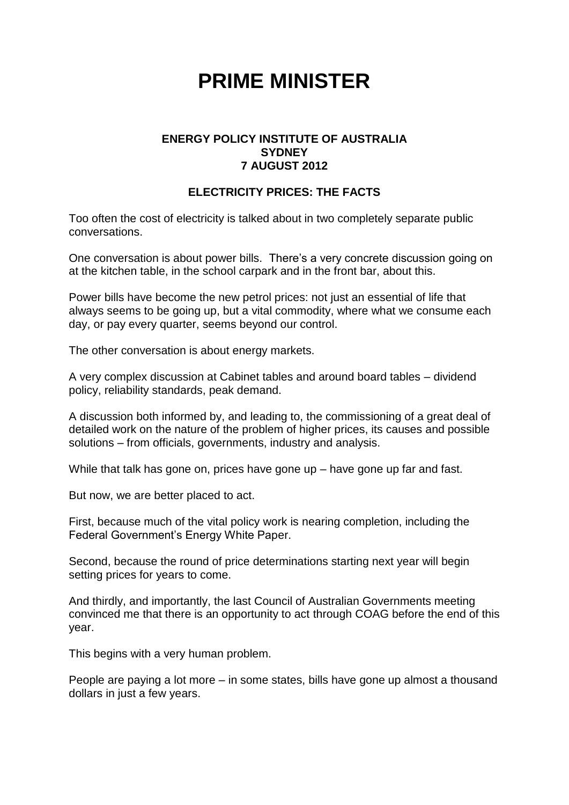## **PRIME MINISTER**

## **ENERGY POLICY INSTITUTE OF AUSTRALIA SYDNEY 7 AUGUST 2012**

## **ELECTRICITY PRICES: THE FACTS**

Too often the cost of electricity is talked about in two completely separate public conversations.

One conversation is about power bills. There's a very concrete discussion going on at the kitchen table, in the school carpark and in the front bar, about this.

Power bills have become the new petrol prices: not just an essential of life that always seems to be going up, but a vital commodity, where what we consume each day, or pay every quarter, seems beyond our control.

The other conversation is about energy markets.

A very complex discussion at Cabinet tables and around board tables – dividend policy, reliability standards, peak demand.

A discussion both informed by, and leading to, the commissioning of a great deal of detailed work on the nature of the problem of higher prices, its causes and possible solutions – from officials, governments, industry and analysis.

While that talk has gone on, prices have gone up – have gone up far and fast.

But now, we are better placed to act.

First, because much of the vital policy work is nearing completion, including the Federal Government's Energy White Paper.

Second, because the round of price determinations starting next year will begin setting prices for years to come.

And thirdly, and importantly, the last Council of Australian Governments meeting convinced me that there is an opportunity to act through COAG before the end of this year.

This begins with a very human problem.

People are paying a lot more – in some states, bills have gone up almost a thousand dollars in just a few years.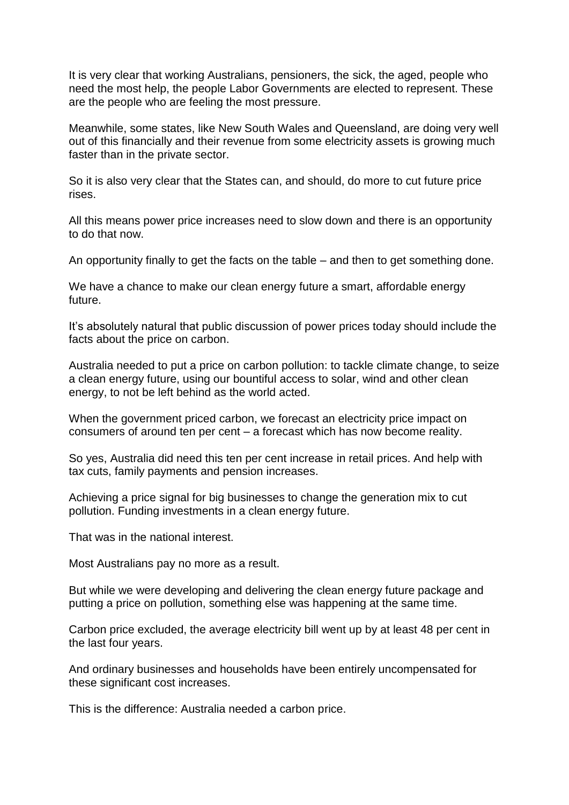It is very clear that working Australians, pensioners, the sick, the aged, people who need the most help, the people Labor Governments are elected to represent. These are the people who are feeling the most pressure.

Meanwhile, some states, like New South Wales and Queensland, are doing very well out of this financially and their revenue from some electricity assets is growing much faster than in the private sector.

So it is also very clear that the States can, and should, do more to cut future price rises.

All this means power price increases need to slow down and there is an opportunity to do that now.

An opportunity finally to get the facts on the table – and then to get something done.

We have a chance to make our clean energy future a smart, affordable energy future.

It's absolutely natural that public discussion of power prices today should include the facts about the price on carbon.

Australia needed to put a price on carbon pollution: to tackle climate change, to seize a clean energy future, using our bountiful access to solar, wind and other clean energy, to not be left behind as the world acted.

When the government priced carbon, we forecast an electricity price impact on consumers of around ten per cent – a forecast which has now become reality.

So yes, Australia did need this ten per cent increase in retail prices. And help with tax cuts, family payments and pension increases.

Achieving a price signal for big businesses to change the generation mix to cut pollution. Funding investments in a clean energy future.

That was in the national interest.

Most Australians pay no more as a result.

But while we were developing and delivering the clean energy future package and putting a price on pollution, something else was happening at the same time.

Carbon price excluded, the average electricity bill went up by at least 48 per cent in the last four years.

And ordinary businesses and households have been entirely uncompensated for these significant cost increases.

This is the difference: Australia needed a carbon price.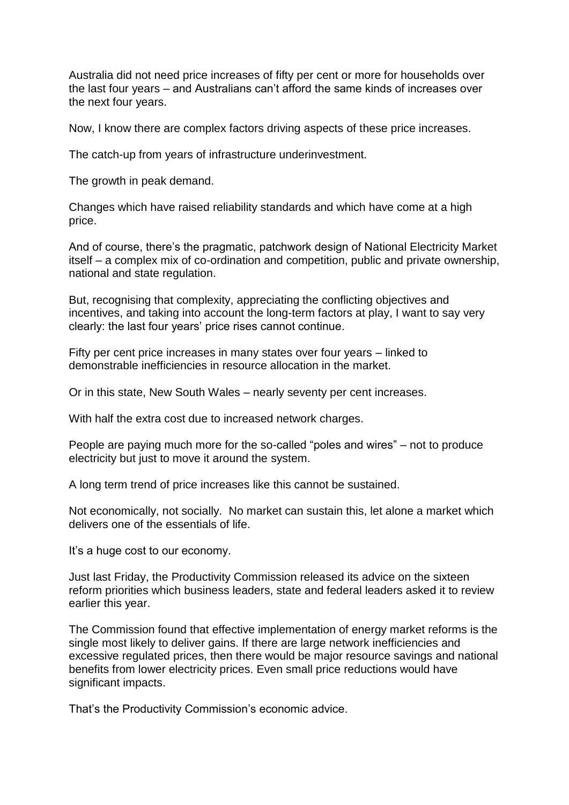Australia did not need price increases of fifty per cent or more for households over the last four years – and Australians can't afford the same kinds of increases over the next four years.

Now, I know there are complex factors driving aspects of these price increases.

The catch-up from years of infrastructure underinvestment.

The growth in peak demand.

Changes which have raised reliability standards and which have come at a high price.

And of course, there's the pragmatic, patchwork design of National Electricity Market itself – a complex mix of co-ordination and competition, public and private ownership, national and state regulation.

But, recognising that complexity, appreciating the conflicting objectives and incentives, and taking into account the long-term factors at play, I want to say very clearly: the last four years' price rises cannot continue.

Fifty per cent price increases in many states over four years – linked to demonstrable inefficiencies in resource allocation in the market.

Or in this state, New South Wales – nearly seventy per cent increases.

With half the extra cost due to increased network charges.

People are paying much more for the so-called "poles and wires" – not to produce electricity but just to move it around the system.

A long term trend of price increases like this cannot be sustained.

Not economically, not socially. No market can sustain this, let alone a market which delivers one of the essentials of life.

It's a huge cost to our economy.

Just last Friday, the Productivity Commission released its advice on the sixteen reform priorities which business leaders, state and federal leaders asked it to review earlier this year.

The Commission found that effective implementation of energy market reforms is the single most likely to deliver gains. If there are large network inefficiencies and excessive regulated prices, then there would be major resource savings and national benefits from lower electricity prices. Even small price reductions would have significant impacts.

That's the Productivity Commission's economic advice.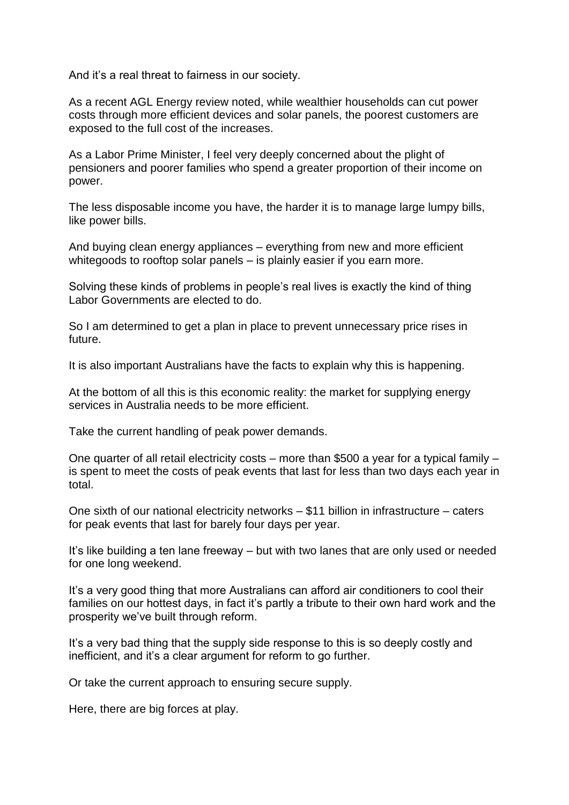And it's a real threat to fairness in our society.

As a recent AGL Energy review noted, while wealthier households can cut power costs through more efficient devices and solar panels, the poorest customers are exposed to the full cost of the increases.

As a Labor Prime Minister, I feel very deeply concerned about the plight of pensioners and poorer families who spend a greater proportion of their income on power.

The less disposable income you have, the harder it is to manage large lumpy bills, like power bills.

And buying clean energy appliances – everything from new and more efficient whitegoods to rooftop solar panels – is plainly easier if you earn more.

Solving these kinds of problems in people's real lives is exactly the kind of thing Labor Governments are elected to do.

So I am determined to get a plan in place to prevent unnecessary price rises in future.

It is also important Australians have the facts to explain why this is happening.

At the bottom of all this is this economic reality: the market for supplying energy services in Australia needs to be more efficient.

Take the current handling of peak power demands.

One quarter of all retail electricity costs – more than \$500 a year for a typical family – is spent to meet the costs of peak events that last for less than two days each year in total.

One sixth of our national electricity networks – \$11 billion in infrastructure – caters for peak events that last for barely four days per year.

It's like building a ten lane freeway – but with two lanes that are only used or needed for one long weekend.

It's a very good thing that more Australians can afford air conditioners to cool their families on our hottest days, in fact it's partly a tribute to their own hard work and the prosperity we've built through reform.

It's a very bad thing that the supply side response to this is so deeply costly and inefficient, and it's a clear argument for reform to go further.

Or take the current approach to ensuring secure supply.

Here, there are big forces at play.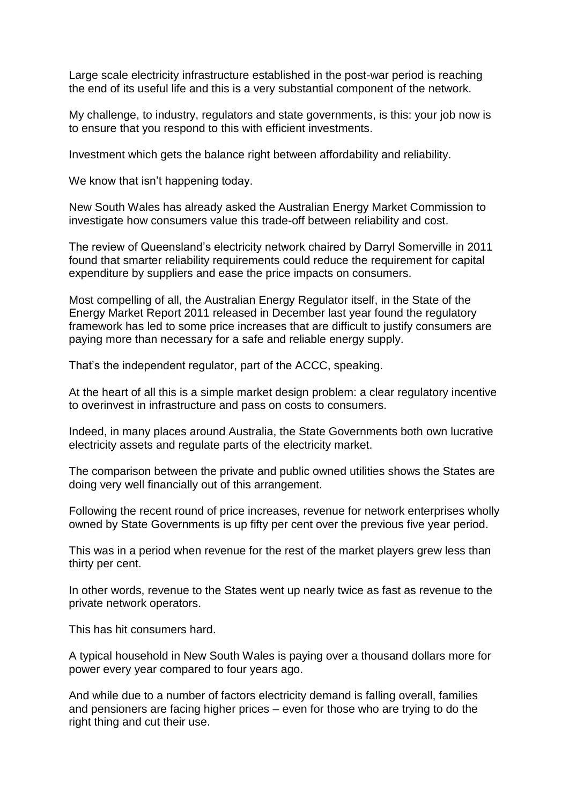Large scale electricity infrastructure established in the post-war period is reaching the end of its useful life and this is a very substantial component of the network.

My challenge, to industry, regulators and state governments, is this: your job now is to ensure that you respond to this with efficient investments.

Investment which gets the balance right between affordability and reliability.

We know that isn't happening today.

New South Wales has already asked the Australian Energy Market Commission to investigate how consumers value this trade-off between reliability and cost.

The review of Queensland's electricity network chaired by Darryl Somerville in 2011 found that smarter reliability requirements could reduce the requirement for capital expenditure by suppliers and ease the price impacts on consumers.

Most compelling of all, the Australian Energy Regulator itself, in the State of the Energy Market Report 2011 released in December last year found the regulatory framework has led to some price increases that are difficult to justify consumers are paying more than necessary for a safe and reliable energy supply.

That's the independent regulator, part of the ACCC, speaking.

At the heart of all this is a simple market design problem: a clear regulatory incentive to overinvest in infrastructure and pass on costs to consumers.

Indeed, in many places around Australia, the State Governments both own lucrative electricity assets and regulate parts of the electricity market.

The comparison between the private and public owned utilities shows the States are doing very well financially out of this arrangement.

Following the recent round of price increases, revenue for network enterprises wholly owned by State Governments is up fifty per cent over the previous five year period.

This was in a period when revenue for the rest of the market players grew less than thirty per cent.

In other words, revenue to the States went up nearly twice as fast as revenue to the private network operators.

This has hit consumers hard.

A typical household in New South Wales is paying over a thousand dollars more for power every year compared to four years ago.

And while due to a number of factors electricity demand is falling overall, families and pensioners are facing higher prices – even for those who are trying to do the right thing and cut their use.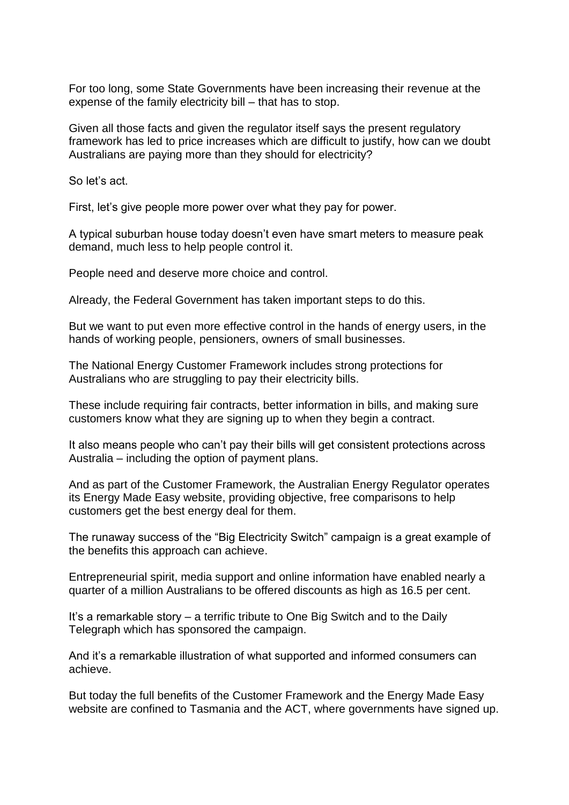For too long, some State Governments have been increasing their revenue at the expense of the family electricity bill – that has to stop.

Given all those facts and given the regulator itself says the present regulatory framework has led to price increases which are difficult to justify, how can we doubt Australians are paying more than they should for electricity?

So let's act.

First, let's give people more power over what they pay for power.

A typical suburban house today doesn't even have smart meters to measure peak demand, much less to help people control it.

People need and deserve more choice and control.

Already, the Federal Government has taken important steps to do this.

But we want to put even more effective control in the hands of energy users, in the hands of working people, pensioners, owners of small businesses.

The National Energy Customer Framework includes strong protections for Australians who are struggling to pay their electricity bills.

These include requiring fair contracts, better information in bills, and making sure customers know what they are signing up to when they begin a contract.

It also means people who can't pay their bills will get consistent protections across Australia – including the option of payment plans.

And as part of the Customer Framework, the Australian Energy Regulator operates its Energy Made Easy website, providing objective, free comparisons to help customers get the best energy deal for them.

The runaway success of the "Big Electricity Switch" campaign is a great example of the benefits this approach can achieve.

Entrepreneurial spirit, media support and online information have enabled nearly a quarter of a million Australians to be offered discounts as high as 16.5 per cent.

It's a remarkable story – a terrific tribute to One Big Switch and to the Daily Telegraph which has sponsored the campaign.

And it's a remarkable illustration of what supported and informed consumers can achieve.

But today the full benefits of the Customer Framework and the Energy Made Easy website are confined to Tasmania and the ACT, where governments have signed up.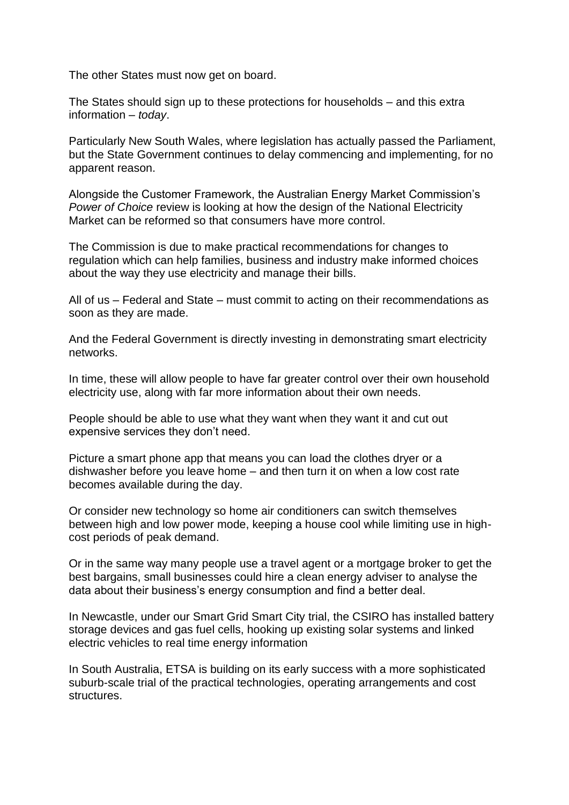The other States must now get on board.

The States should sign up to these protections for households – and this extra information – *today*.

Particularly New South Wales, where legislation has actually passed the Parliament, but the State Government continues to delay commencing and implementing, for no apparent reason.

Alongside the Customer Framework, the Australian Energy Market Commission's *Power of Choice* review is looking at how the design of the National Electricity Market can be reformed so that consumers have more control.

The Commission is due to make practical recommendations for changes to regulation which can help families, business and industry make informed choices about the way they use electricity and manage their bills.

All of us – Federal and State – must commit to acting on their recommendations as soon as they are made.

And the Federal Government is directly investing in demonstrating smart electricity networks.

In time, these will allow people to have far greater control over their own household electricity use, along with far more information about their own needs.

People should be able to use what they want when they want it and cut out expensive services they don't need.

Picture a smart phone app that means you can load the clothes dryer or a dishwasher before you leave home – and then turn it on when a low cost rate becomes available during the day.

Or consider new technology so home air conditioners can switch themselves between high and low power mode, keeping a house cool while limiting use in highcost periods of peak demand.

Or in the same way many people use a travel agent or a mortgage broker to get the best bargains, small businesses could hire a clean energy adviser to analyse the data about their business's energy consumption and find a better deal.

In Newcastle, under our Smart Grid Smart City trial, the CSIRO has installed battery storage devices and gas fuel cells, hooking up existing solar systems and linked electric vehicles to real time energy information

In South Australia, ETSA is building on its early success with a more sophisticated suburb-scale trial of the practical technologies, operating arrangements and cost structures.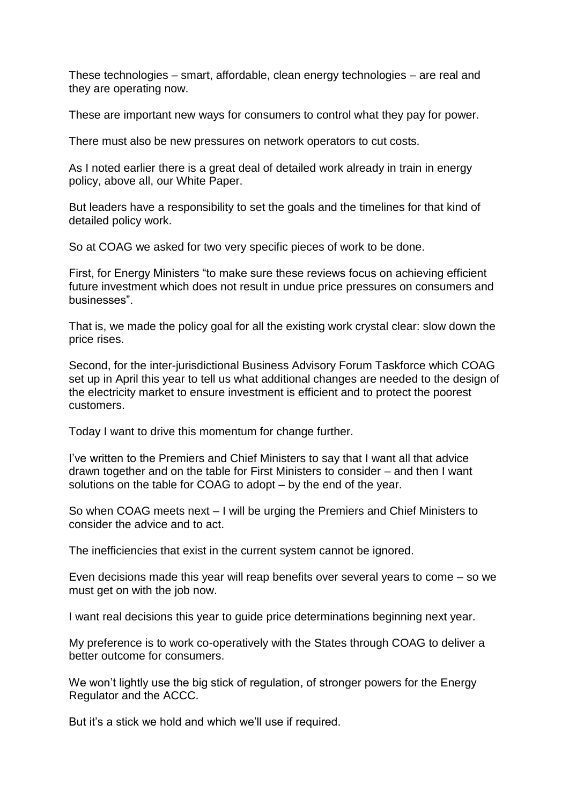These technologies – smart, affordable, clean energy technologies – are real and they are operating now.

These are important new ways for consumers to control what they pay for power.

There must also be new pressures on network operators to cut costs.

As I noted earlier there is a great deal of detailed work already in train in energy policy, above all, our White Paper.

But leaders have a responsibility to set the goals and the timelines for that kind of detailed policy work.

So at COAG we asked for two very specific pieces of work to be done.

First, for Energy Ministers "to make sure these reviews focus on achieving efficient future investment which does not result in undue price pressures on consumers and businesses".

That is, we made the policy goal for all the existing work crystal clear: slow down the price rises.

Second, for the inter-jurisdictional Business Advisory Forum Taskforce which COAG set up in April this year to tell us what additional changes are needed to the design of the electricity market to ensure investment is efficient and to protect the poorest customers.

Today I want to drive this momentum for change further.

I've written to the Premiers and Chief Ministers to say that I want all that advice drawn together and on the table for First Ministers to consider – and then I want solutions on the table for COAG to adopt – by the end of the year.

So when COAG meets next – I will be urging the Premiers and Chief Ministers to consider the advice and to act.

The inefficiencies that exist in the current system cannot be ignored.

Even decisions made this year will reap benefits over several years to come – so we must get on with the job now.

I want real decisions this year to guide price determinations beginning next year.

My preference is to work co-operatively with the States through COAG to deliver a better outcome for consumers.

We won't lightly use the big stick of regulation, of stronger powers for the Energy Regulator and the ACCC.

But it's a stick we hold and which we'll use if required.